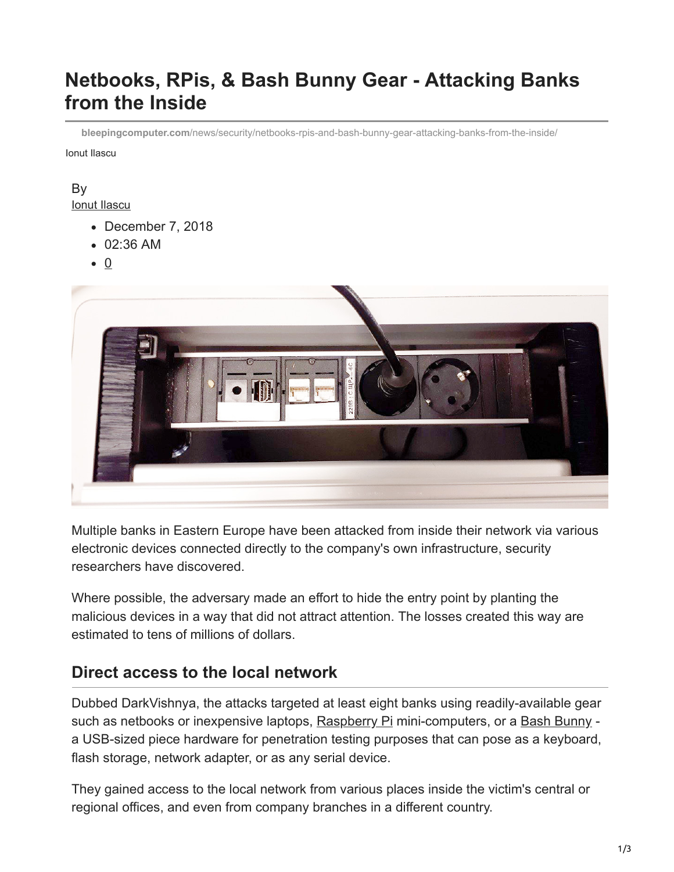# **Netbooks, RPis, & Bash Bunny Gear - Attacking Banks from the Inside**

**bleepingcomputer.com**[/news/security/netbooks-rpis-and-bash-bunny-gear-attacking-banks-from-the-inside/](https://www.bleepingcomputer.com/news/security/netbooks-rpis-and-bash-bunny-gear-attacking-banks-from-the-inside/)

Ionut Ilascu

## By

[Ionut Ilascu](https://www.bleepingcomputer.com/author/ionut-ilascu/)

- December 7, 2018
- 02:36 AM
- $\bullet$  0



Multiple banks in Eastern Europe have been attacked from inside their network via various electronic devices connected directly to the company's own infrastructure, security researchers have discovered.

Where possible, the adversary made an effort to hide the entry point by planting the malicious devices in a way that did not attract attention. The losses created this way are estimated to tens of millions of dollars.

#### **Direct access to the local network**

Dubbed DarkVishnya, the attacks targeted at least eight banks using readily-available gear such as netbooks or inexpensive laptops, [Raspberry Pi](https://www.raspberrypi.org/products/) mini-computers, or a [Bash Bunny](https://shop.hak5.org/products/bash-bunny)  a USB-sized piece hardware for penetration testing purposes that can pose as a keyboard, flash storage, network adapter, or as any serial device.

They gained access to the local network from various places inside the victim's central or regional offices, and even from company branches in a different country.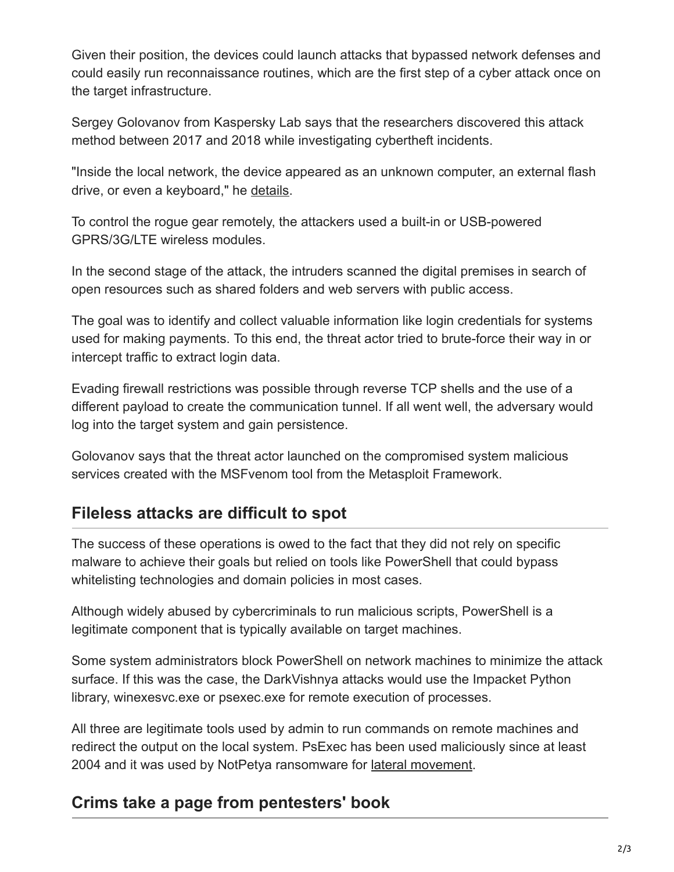Given their position, the devices could launch attacks that bypassed network defenses and could easily run reconnaissance routines, which are the first step of a cyber attack once on the target infrastructure.

Sergey Golovanov from Kaspersky Lab says that the researchers discovered this attack method between 2017 and 2018 while investigating cybertheft incidents.

"Inside the local network, the device appeared as an unknown computer, an external flash drive, or even a keyboard," he [details](http://securelist.com/darkvishnya/89169/).

To control the rogue gear remotely, the attackers used a built-in or USB-powered GPRS/3G/LTE wireless modules.

In the second stage of the attack, the intruders scanned the digital premises in search of open resources such as shared folders and web servers with public access.

The goal was to identify and collect valuable information like login credentials for systems used for making payments. To this end, the threat actor tried to brute-force their way in or intercept traffic to extract login data.

Evading firewall restrictions was possible through reverse TCP shells and the use of a different payload to create the communication tunnel. If all went well, the adversary would log into the target system and gain persistence.

Golovanov says that the threat actor launched on the compromised system malicious services created with the MSFvenom tool from the Metasploit Framework.

## **Fileless attacks are difficult to spot**

The success of these operations is owed to the fact that they did not rely on specific malware to achieve their goals but relied on tools like PowerShell that could bypass whitelisting technologies and domain policies in most cases.

Although widely abused by cybercriminals to run malicious scripts, PowerShell is a legitimate component that is typically available on target machines.

Some system administrators block PowerShell on network machines to minimize the attack surface. If this was the case, the DarkVishnya attacks would use the Impacket Python library, winexesvc.exe or psexec.exe for remote execution of processes.

All three are legitimate tools used by admin to run commands on remote machines and redirect the output on the local system. PsExec has been used maliciously since at least 2004 and it was used by NotPetya ransomware for [lateral movement](https://www.bleepingcomputer.com/news/security/petya-ransomware-outbreak-originated-in-ukraine-via-tainted-accounting-software/).

## **Crims take a page from pentesters' book**